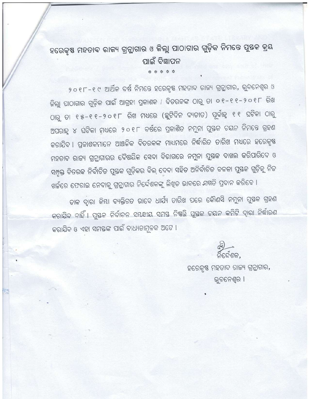## ହରେକୃଷ ମହତାବ ରାଜ୍ୟ ଗ୍ରନ୍ଥାଗାର ଓ ଜିଲ୍ଲା ପାଠାଗାର ଗୁଡ଼ିକ ନିମନ୍ତେ ପୁଷକ କ୍ରୟ ପାଇଁ ବିଜ୍ଞାପନ

\* \* \* \* \*

୨୦୧୮-୧୯ ଆର୍ଥିକ ବର୍ଷ ନିମନ୍ତେ ହରେକୃଷ ମହତାବ ରାଜ୍ୟ ଗ୍ରନ୍ଥାଗାର, ଭୁବନେଶ୍ୱର ଓ ଜିଲ୍ଲା ପାଠାଗାର ଗୁଡ଼ିକ ପାଇଁ ଆଗ୍ରହୀ ପ୍ରକାଶକ । ବିତରକଙ୍କ ଠାରୁ ତା ୦୧-୧୧-୨୦୧୮ ରିଖ ଠାରୁ ତା ୧୫-୧୧-୨୦୧୮ ରିଖ ମଧ୍ୟରେ (ଛୁଟିଦିନ ବ୍ୟତୀତ) ପୂର୍ବାହୁ ୧୧ ଘଟିକା ଠାରୁ ଅପରାହ୍ନ ୪ ଘଟିକା ମଧ୍ୟରେ ୨୦୧୮ ବର୍ଷରେ ପ୍ରକାଶିତ ନମୁନା ପୁଷ୍ତକ ଚୟନ ନିମନ୍ତେ ଗ୍ରହଣ କରାଯିବ । ପ୍ରକାଶକମାନେ ଆଞ୍ଚଳିକ ବିତରକଙ୍କ ମାଧ୍ୟମରେ ନିର୍ଦ୍ଧାରିତ ତାରିଖ ମଧ୍ୟରେ ହରେକୃଷ ମହତାବ ରାଜ୍ୟ ଗ୍ରନ୍ଥାଗାରର ବୈଷୟିକ ସେବା ବିଭାଗରେ ନମୁନା ପୁଷ୍ତକ ଦାଖଲ କରିପାରିବେ ଓ ସମ୍ପୃକ୍ତ ବିତରକ ନିର୍ବାଚିତ ପୁଷ୍ତକ ଗୁଡ଼ିକର ବିଲ୍ ଦେବା ସହିତ ଅନିର୍ବାଚିତ ବଳକା ପୁଷ୍ତକ ଗୁଡ଼ିକୁ ନିଜ ଖର୍ଚ୍ଚରେ ଫେରାଇ ନେବାକୁ ଗ୍ରନ୍ଥାଗାର ନିର୍ଦ୍ଦେଶକଙ୍କୁ ଲିଖିତ ଭାବରେ ସମ୍ମତି ପ୍ରଦାନ କରିବେ ।

ଡାକ ଦ୍ୱାରା କିୟା ବ୍ୟକ୍ତିଗତ ଭାବେ ଧାର୍ଯ୍ୟ ତାରିଖ ପରେ କୌଣସି ନମୁନା ପୁଷ୍ତକ ଗ୍ରହଣ କରାଯିବ ନାହିଁ । ପୁଷ୍ତକ ନିର୍ବାଚନ ସୟନ୍ଧୀୟ ସମଷ୍ତ ନିଷତ୍ତି ପୁଷ୍ତକ ଚୟନ କମିଟି ଦ୍ୱାରା ନିର୍ଦ୍ଧାରଣ କରାଯିବ ଓ ଏହା ସମସ୍ତଙ୍କ ପାଇଁ ବାଧ୍ୟତାମୂଳକ ଅଟେ ।

ଶକ.

ହରେକୃଷ ମହତାବ ରାଜ୍ୟ ଗ୍ରନ୍ଥାଗାର, ଭୁବନେଶ୍ୱର ।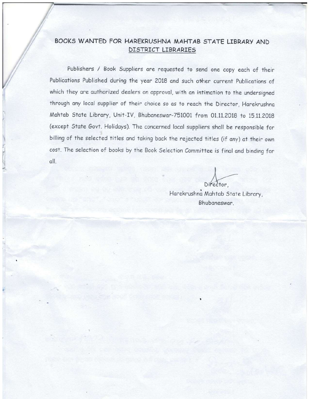## BOOKS WANTED FOR HAREKRUSHNA MAHTAB STATE LIBRARY AND DISTRICT LIBRARIES

Publishers / Book Suppliers are requested to send one copy each of their Publications Published during the year 2018 and such other current Publications of which they are authorized dealers on approval, with an intimation to the undersigned through any local supplier of their choice so as to reach the Director, Harekrushna Mahtab State Library, Unit-IV, Bhubaneswar-751001 from 01.11.2018 to 15.11.2018 (except State Govt. Holidays). The concerned local suppliers shall be responsible for billing of the selected titles and taking back the rejected titles (if any) at their own cost. The selection of books by the Book Selection Committee is final and binding for oll.

Director.

Harekrushna Mahtab State Library, Bhuboneswor.